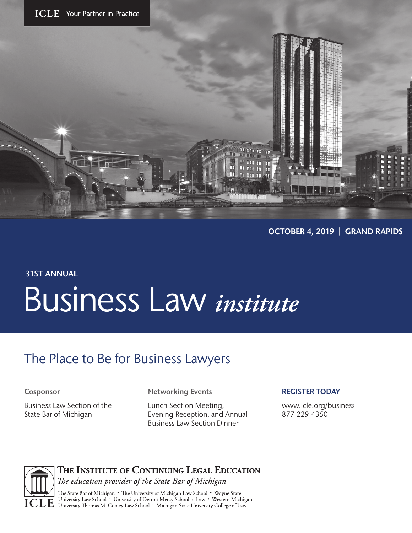



OCTOBER 4, 2019 | GRAND RAPIDS

## 31ST ANNUAL Business Law *institute*

## The Place to Be for Business Lawyers

Business Law Section of the State Bar of Michigan

Cosponsor **Networking Events** 

Lunch Section Meeting, Evening Reception, and Annual Business Law Section Dinner

#### REGISTER TODAY

www.icle.org/business 877-229-4350



THE INSTITUTE OF CONTINUING LEGAL EDUCATION

The education provider of the State Bar of Michigan

**III** The State Bar of Michigan • The University of Michigan Law School • Wayne State<br>
TIP University Law School • University of Detroit Mercy School of Law • Western Michigan<br>
TIP University Thomas M. Cooley Law School •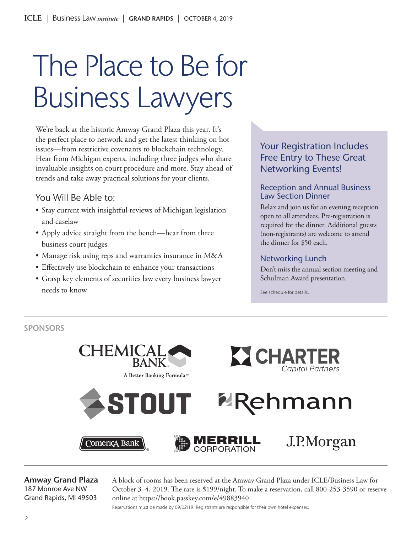# The Place to Be for Business Lawyers

We're back at the historic Amway Grand Plaza this year. It's the perfect place to network and get the latest thinking on hot issues—from restrictive covenants to blockchain technology. Hear from Michigan experts, including three judges who share invaluable insights on court procedure and more. Stay ahead of trends and take away practical solutions for your clients.

#### You Will Be Able to:

- Stay current with insightful reviews of Michigan legislation and caselaw
- Apply advice straight from the bench—hear from three business court judges
- Manage risk using reps and warranties insurance in M&A
- Effectively use blockchain to enhance your transactions
- Grasp key elements of securities law every business lawyer needs to know

### Your Registration Includes Free Entry to These Great Networking Events!

#### Reception and Annual Business Law Section Dinner

Relax and join us for an evening reception open to all attendees. Pre-registration is required for the dinner. Additional guests (non-registrants) are welcome to attend the dinner for \$50 each.

#### Networking Lunch

Don't miss the annual section meeting and Schulman Award presentation.

See schedule for details.

SPONSORS



Amway Grand Plaza 187 Monroe Ave NW Grand Rapids, MI 49503

A block of rooms has been reserved at the Amway Grand Plaza under ICLE/Business Law for October 3–4, 2019. The rate is \$199/night. To make a reservation, call 800-253-3590 or reserve online at https://book.passkey.com/e/49883940.

Reservations must be made by 09/02/19. Registrants are responsible for their own hotel expenses.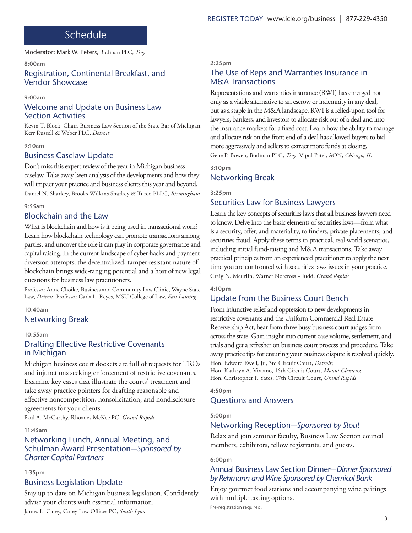## Schedule

Moderator: Mark W. Peters, Bodman PLC, *Troy*

#### 8:00am

#### Registration, Continental Breakfast, and Vendor Showcase

#### 9:00am

#### Welcome and Update on Business Law Section Activities

Kevin T. Block, Chair, Business Law Section of the State Bar of Michigan, Kerr Russell & Weber PLC, *Detroit*

#### 9:10am

#### Business Caselaw Update

Don't miss this expert review of the year in Michigan business caselaw. Take away keen analysis of the developments and how they will impact your practice and business clients this year and beyond. Daniel N. Sharkey, Brooks Wilkins Sharkey & Turco PLLC, *Birmingham*

#### 9:55am

#### Blockchain and the Law

What is blockchain and how is it being used in transactional work? Learn how blockchain technology can promote transactions among parties, and uncover the role it can play in corporate governance and capital raising. In the current landscape of cyber-hacks and payment diversion attempts, the decentralized, tamper-resistant nature of blockchain brings wide-ranging potential and a host of new legal questions for business law practitioners.

Professor Anne Choike, Business and Community Law Clinic, Wayne State Law, *Detroit*; Professor Carla L. Reyes, MSU College of Law, *East Lansing*

#### 10:40am

#### Networking Break

#### 10:55am

#### Drafting Effective Restrictive Covenants in Michigan

Michigan business court dockets are full of requests for TROs and injunctions seeking enforcement of restrictive covenants. Examine key cases that illustrate the courts' treatment and take away practice pointers for drafting reasonable and effective noncompetition, nonsolicitation, and nondisclosure agreements for your clients.

Paul A. McCarthy, Rhoades McKee PC, *Grand Rapids*

#### 11:45am

#### Networking Lunch, Annual Meeting, and Schulman Award Presentation—*Sponsored by Charter Capital Partners*

#### 1:35pm

#### Business Legislation Update

Stay up to date on Michigan business legislation. Confidently advise your clients with essential information.

James L. Carey, Carey Law Offices PC, *South Lyon*

#### 2:25pm

#### The Use of Reps and Warranties Insurance in M&A Transactions

Representations and warranties insurance (RWI) has emerged not only as a viable alternative to an escrow or indemnity in any deal, but as a staple in the M&A landscape. RWI is a relied-upon tool for lawyers, bankers, and investors to allocate risk out of a deal and into the insurance markets for a fixed cost. Learn how the ability to manage and allocate risk on the front end of a deal has allowed buyers to bid more aggressively and sellers to extract more funds at closing. Gene P. Bowen, Bodman PLC, *Troy*; Vipul Patel, AON, *Chicago, IL*

## 3:10pm

#### Networking Break

#### 3:25pm

#### Securities Law for Business Lawyers

Learn the key concepts of securities laws that all business lawyers need to know. Delve into the basic elements of securities laws—from what is a security, offer, and materiality, to finders, private placements, and securities fraud. Apply these terms in practical, real-world scenarios, including initial fund-raising and M&A transactions. Take away practical principles from an experienced practitioner to apply the next time you are confronted with securities laws issues in your practice. Craig N. Meurlin, Warner Norcross + Judd, *Grand Rapids*

#### 4:10pm

#### Update from the Business Court Bench

From injunctive relief and oppression to new developments in restrictive covenants and the Uniform Commercial Real Estate Receivership Act, hear from three busy business court judges from across the state. Gain insight into current case volume, settlement, and trials and get a refresher on business court process and procedure. Take away practice tips for ensuring your business dispute is resolved quickly. Hon. Edward Ewell, Jr., 3rd Circuit Court, *Detroit*;

Hon. Kathryn A. Viviano, 16th Circuit Court, *Mount Clemens*; Hon. Christopher P. Yates, 17th Circuit Court, *Grand Rapids*

#### 4:50pm

#### Questions and Answers

#### 5:00pm

#### Networking Reception—*Sponsored by Stout*

Relax and join seminar faculty, Business Law Section council members, exhibitors, fellow registrants, and guests.

#### 6:00pm

#### Annual Business Law Section Dinner—*Dinner Sponsored by Rehmann and Wine Sponsored by Chemical Bank*

Enjoy gourmet food stations and accompanying wine pairings with multiple tasting options.

Pre-registration required.